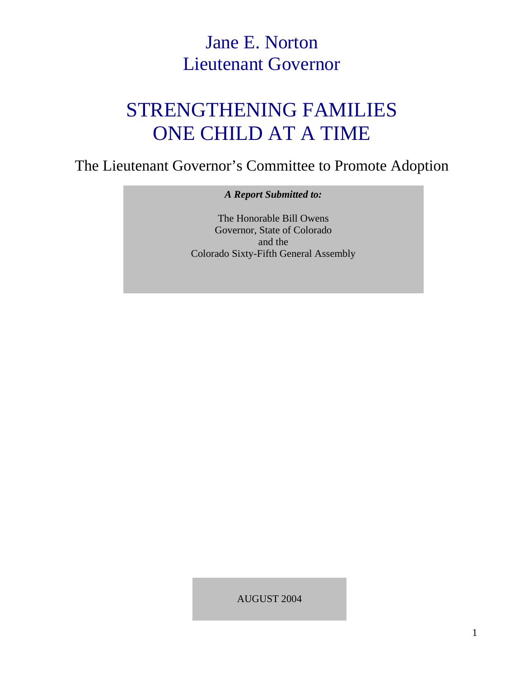## Jane E. Norton Lieutenant Governor

# STRENGTHENING FAMILIES ONE CHILD AT A TIME

The Lieutenant Governor's Committee to Promote Adoption

*A Report Submitted to:* 

The Honorable Bill Owens Governor, State of Colorado and the Colorado Sixty-Fifth General Assembly

AUGUST 2004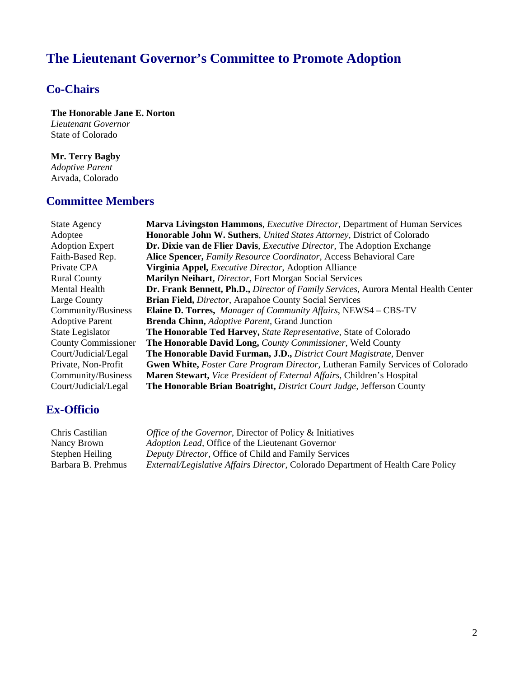## **The Lieutenant Governor's Committee to Promote Adoption**

### **Co-Chairs**

 **The Honorable Jane E. Norton**   *Lieutenant Governor*  State of Colorado

 **Mr. Terry Bagby**   *Adoptive Parent*  Arvada, Colorado

### **Committee Members**

| <b>State Agency</b>        | <b>Marva Livingston Hammons, Executive Director, Department of Human Services</b>     |  |  |  |
|----------------------------|---------------------------------------------------------------------------------------|--|--|--|
| Adoptee                    | Honorable John W. Suthers, United States Attorney, District of Colorado               |  |  |  |
| <b>Adoption Expert</b>     | Dr. Dixie van de Flier Davis, <i>Executive Director</i> , The Adoption Exchange       |  |  |  |
| Faith-Based Rep.           | Alice Spencer, Family Resource Coordinator, Access Behavioral Care                    |  |  |  |
| Private CPA                | Virginia Appel, <i>Executive Director</i> , Adoption Alliance                         |  |  |  |
| <b>Rural County</b>        | Marilyn Neihart, Director, Fort Morgan Social Services                                |  |  |  |
| Mental Health              | Dr. Frank Bennett, Ph.D., Director of Family Services, Aurora Mental Health Center    |  |  |  |
| Large County               | <b>Brian Field, Director, Arapahoe County Social Services</b>                         |  |  |  |
| Community/Business         | <b>Elaine D. Torres, Manager of Community Affairs, NEWS4 - CBS-TV</b>                 |  |  |  |
| <b>Adoptive Parent</b>     | <b>Brenda Chinn, Adoptive Parent, Grand Junction</b>                                  |  |  |  |
| State Legislator           | <b>The Honorable Ted Harvey, State Representative, State of Colorado</b>              |  |  |  |
| <b>County Commissioner</b> | The Honorable David Long, County Commissioner, Weld County                            |  |  |  |
| Court/Judicial/Legal       | The Honorable David Furman, J.D., District Court Magistrate, Denver                   |  |  |  |
| Private, Non-Profit        | <b>Gwen White, Foster Care Program Director, Lutheran Family Services of Colorado</b> |  |  |  |
| Community/Business         | Maren Stewart, Vice President of External Affairs, Children's Hospital                |  |  |  |
| Court/Judicial/Legal       | <b>The Honorable Brian Boatright, District Court Judge, Jefferson County</b>          |  |  |  |

### **Ex-Officio**

| Chris Castilian    | <i>Office of the Governor, Director of Policy &amp; Initiatives</i>                     |
|--------------------|-----------------------------------------------------------------------------------------|
| Nancy Brown        | <i>Adoption Lead, Office of the Lieutenant Governor</i>                                 |
| Stephen Heiling    | Deputy Director, Office of Child and Family Services                                    |
| Barbara B. Prehmus | <i>External/Legislative Affairs Director, Colorado Department of Health Care Policy</i> |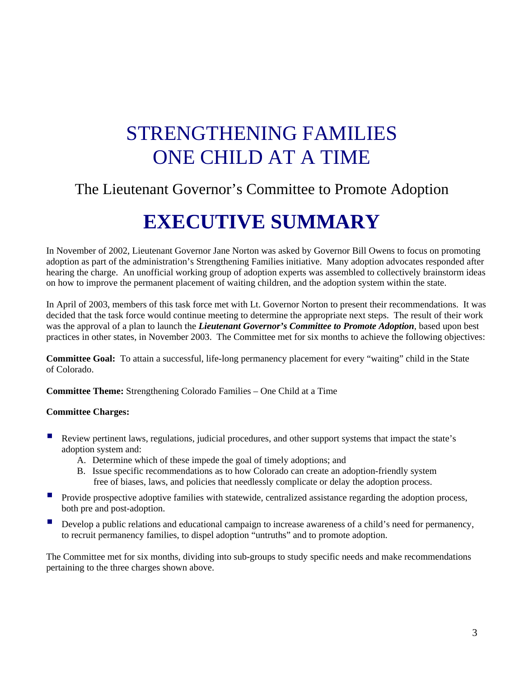# STRENGTHENING FAMILIES ONE CHILD AT A TIME

## The Lieutenant Governor's Committee to Promote Adoption

## **EXECUTIVE SUMMARY**

In November of 2002, Lieutenant Governor Jane Norton was asked by Governor Bill Owens to focus on promoting adoption as part of the administration's Strengthening Families initiative. Many adoption advocates responded after hearing the charge. An unofficial working group of adoption experts was assembled to collectively brainstorm ideas on how to improve the permanent placement of waiting children, and the adoption system within the state.

In April of 2003, members of this task force met with Lt. Governor Norton to present their recommendations. It was decided that the task force would continue meeting to determine the appropriate next steps. The result of their work was the approval of a plan to launch the *Lieutenant Governor's Committee to Promote Adoption*, based upon best practices in other states, in November 2003. The Committee met for six months to achieve the following objectives:

**Committee Goal:** To attain a successful, life-long permanency placement for every "waiting" child in the State of Colorado.

**Committee Theme:** Strengthening Colorado Families – One Child at a Time

#### **Committee Charges:**

- Review pertinent laws, regulations, judicial procedures, and other support systems that impact the state's adoption system and:
	- A. Determine which of these impede the goal of timely adoptions; and
	- B. Issue specific recommendations as to how Colorado can create an adoption-friendly system free of biases, laws, and policies that needlessly complicate or delay the adoption process.
- **Provide prospective adoptive families with statewide, centralized assistance regarding the adoption process,** both pre and post-adoption.
- **Develop a public relations and educational campaign to increase awareness of a child's need for permanency,** to recruit permanency families, to dispel adoption "untruths" and to promote adoption.

The Committee met for six months, dividing into sub-groups to study specific needs and make recommendations pertaining to the three charges shown above.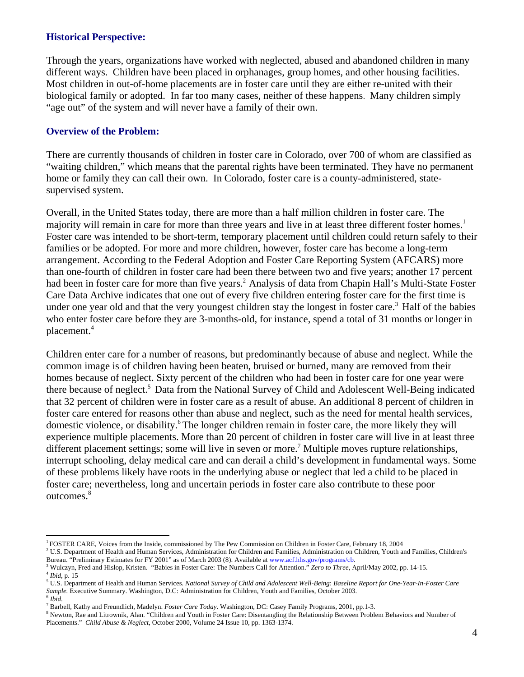#### **Historical Perspective:**

Through the years, organizations have worked with neglected, abused and abandoned children in many different ways. Children have been placed in orphanages, group homes, and other housing facilities. Most children in out-of-home placements are in foster care until they are either re-united with their biological family or adopted. In far too many cases, neither of these happens. Many children simply "age out" of the system and will never have a family of their own.

#### **Overview of the Problem:**

There are currently thousands of children in foster care in Colorado, over 700 of whom are classified as "waiting children," which means that the parental rights have been terminated. They have no permanent home or family they can call their own. In Colorado, foster care is a county-administered, statesupervised system.

Overall, in the United States today, there are more than a half million children in foster care. The majority will remain in care for more than three years and live in at least three different foster homes.<sup>1</sup> Foster care was intended to be short-term, temporary placement until children could return safely to their families or be adopted. For more and more children, however, foster care has become a long-term arrangement. According to the Federal Adoption and Foster Care Reporting System (AFCARS) more than one-fourth of children in foster care had been there between two and five years; another 17 percent had been in foster care for more than five years.<sup>2</sup> Analysis of data from Chapin Hall's Multi-State Foster Care Data Archive indicates that one out of every five children entering foster care for the first time is under one year old and that the very youngest children stay the longest in foster care.<sup>3</sup> Half of the babies who enter foster care before they are 3-months-old, for instance, spend a total of 31 months or longer in placement.4

Children enter care for a number of reasons, but predominantly because of abuse and neglect. While the common image is of children having been beaten, bruised or burned, many are removed from their homes because of neglect. Sixty percent of the children who had been in foster care for one year were there because of neglect.<sup>5</sup> Data from the National Survey of Child and Adolescent Well-Being indicated that 32 percent of children were in foster care as a result of abuse. An additional 8 percent of children in foster care entered for reasons other than abuse and neglect, such as the need for mental health services, domestic violence, or disability.<sup>6</sup> The longer children remain in foster care, the more likely they will experience multiple placements. More than 20 percent of children in foster care will live in at least three different placement settings; some will live in seven or more.<sup>7</sup> Multiple moves rupture relationships, interrupt schooling, delay medical care and can derail a child's development in fundamental ways. Some of these problems likely have roots in the underlying abuse or neglect that led a child to be placed in foster care; nevertheless, long and uncertain periods in foster care also contribute to these poor outcomes.<sup>8</sup>

 $\overline{a}$ 

<sup>1</sup> FOSTER CARE, Voices from the Inside, commissioned by The Pew Commission on Children in Foster Care, February 18, 2004 2

<sup>&</sup>lt;sup>2</sup> U.S. Department of Health and Human Services, Administration for Children and Families, Administration on Children, Youth and Families, Children's Bureau. "Preliminary Estimates for FY 2001" as of March 2003 (8). Available at www.acf.hhs.gov/programs/cb.

<sup>&</sup>lt;sup>3</sup> Wulczyn, Fred and Hislop, Kristen. "Babies in Foster Care: The Numbers Call for Attention." *Zero to Three*, April/May 2002, pp. 14-15. <sup>4</sup> *Ibid*, p. 15

U.S. Department of Health and Human Services. *National Survey of Child and Adolescent Well-Being*: *Baseline Report for One-Year-In-Foster Care Sample.* Executive Summary. Washington, D.C: Administration for Children, Youth and Families, October 2003. <sup>6</sup> *Ibid.* 

<sup>&</sup>lt;sup>7</sup> Barbell, Kathy and Freundlich, Madelyn. *Foster Care Today*. Washington, DC: Casey Family Programs, 2001, pp.1-3.

<sup>&</sup>lt;sup>8</sup> Newton, Rae and Litrownik, Alan. "Children and Youth in Foster Care: Disentangling the Relationship Between Problem Behaviors and Number of Placements." *Child Abuse & Neglect*, October 2000, Volume 24 Issue 10, pp. 1363-1374.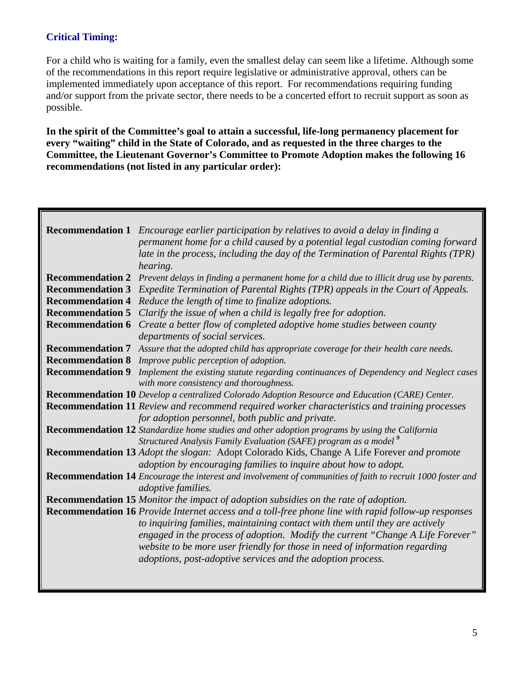### **Critical Timing:**

For a child who is waiting for a family, even the smallest delay can seem like a lifetime. Although some of the recommendations in this report require legislative or administrative approval, others can be implemented immediately upon acceptance of this report. For recommendations requiring funding and/or support from the private sector, there needs to be a concerted effort to recruit support as soon as possible.

**In the spirit of the Committee's goal to attain a successful, life-long permanency placement for every "waiting" child in the State of Colorado, and as requested in the three charges to the Committee, the Lieutenant Governor's Committee to Promote Adoption makes the following 16 recommendations (not listed in any particular order):** 

|                         | Recommendation 1 Encourage earlier participation by relatives to avoid a delay in finding a                        |  |  |  |  |  |
|-------------------------|--------------------------------------------------------------------------------------------------------------------|--|--|--|--|--|
|                         | permanent home for a child caused by a potential legal custodian coming forward                                    |  |  |  |  |  |
|                         | late in the process, including the day of the Termination of Parental Rights (TPR)                                 |  |  |  |  |  |
|                         | hearing.                                                                                                           |  |  |  |  |  |
|                         | <b>Recommendation 2</b> Prevent delays in finding a permanent home for a child due to illicit drug use by parents. |  |  |  |  |  |
|                         | <b>Recommendation 3</b> Expedite Termination of Parental Rights (TPR) appeals in the Court of Appeals.             |  |  |  |  |  |
| <b>Recommendation 4</b> | Reduce the length of time to finalize adoptions.                                                                   |  |  |  |  |  |
|                         | <b>Recommendation 5</b> Clarify the issue of when a child is legally free for adoption.                            |  |  |  |  |  |
| <b>Recommendation 6</b> | Create a better flow of completed adoptive home studies between county                                             |  |  |  |  |  |
|                         | departments of social services.                                                                                    |  |  |  |  |  |
|                         | Recommendation 7 Assure that the adopted child has appropriate coverage for their health care needs.               |  |  |  |  |  |
|                         | <b>Recommendation 8</b> Improve public perception of adoption.                                                     |  |  |  |  |  |
|                         | Recommendation 9 Implement the existing statute regarding continuances of Dependency and Neglect cases             |  |  |  |  |  |
|                         | with more consistency and thoroughness.                                                                            |  |  |  |  |  |
|                         | Recommendation 10 Develop a centralized Colorado Adoption Resource and Education (CARE) Center.                    |  |  |  |  |  |
|                         | <b>Recommendation 11</b> Review and recommend required worker characteristics and training processes               |  |  |  |  |  |
|                         | for adoption personnel, both public and private.                                                                   |  |  |  |  |  |
|                         | Recommendation 12 Standardize home studies and other adoption programs by using the California                     |  |  |  |  |  |
|                         | Structured Analysis Family Evaluation (SAFE) program as a model <sup>9</sup>                                       |  |  |  |  |  |
|                         | <b>Recommendation 13</b> Adopt the slogan: Adopt Colorado Kids, Change A Life Forever and promote                  |  |  |  |  |  |
|                         | adoption by encouraging families to inquire about how to adopt.                                                    |  |  |  |  |  |
|                         | <b>Recommendation 14</b> Encourage the interest and involvement of communities of faith to recruit 1000 foster and |  |  |  |  |  |
|                         | adoptive families.                                                                                                 |  |  |  |  |  |
|                         | Recommendation 15 Monitor the impact of adoption subsidies on the rate of adoption.                                |  |  |  |  |  |
|                         | Recommendation 16 Provide Internet access and a toll-free phone line with rapid follow-up responses                |  |  |  |  |  |
|                         | to inquiring families, maintaining contact with them until they are actively                                       |  |  |  |  |  |
|                         | engaged in the process of adoption. Modify the current "Change A Life Forever"                                     |  |  |  |  |  |
|                         | website to be more user friendly for those in need of information regarding                                        |  |  |  |  |  |
|                         | adoptions, post-adoptive services and the adoption process.                                                        |  |  |  |  |  |
|                         |                                                                                                                    |  |  |  |  |  |
|                         |                                                                                                                    |  |  |  |  |  |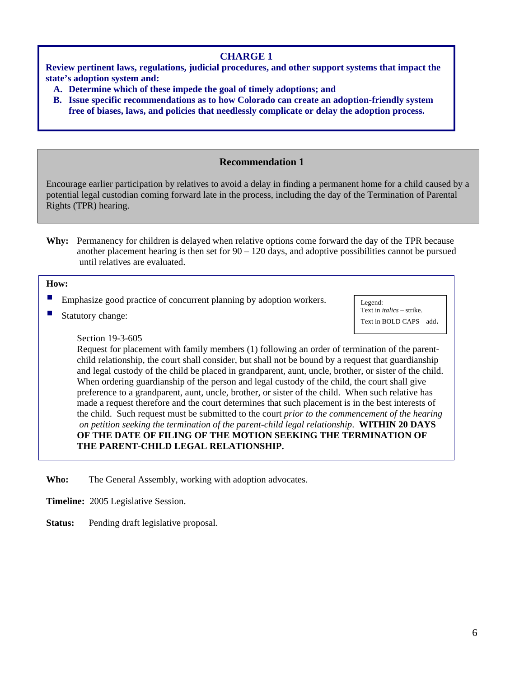#### **CHARGE 1**

**Review pertinent laws, regulations, judicial procedures, and other support systems that impact the state's adoption system and:**

- **A. Determine which of these impede the goal of timely adoptions; and**
- **B. Issue specific recommendations as to how Colorado can create an adoption-friendly system free of biases, laws, and policies that needlessly complicate or delay the adoption process.**

#### **Recommendation 1**

Encourage earlier participation by relatives to avoid a delay in finding a permanent home for a child caused by a potential legal custodian coming forward late in the process, including the day of the Termination of Parental Rights (TPR) hearing.

**Why:** Permanency for children is delayed when relative options come forward the day of the TPR because another placement hearing is then set for  $90 - 120$  days, and adoptive possibilities cannot be pursued until relatives are evaluated.

#### **How:**

- Emphasize good practice of concurrent planning by adoption workers.
- Statutory change:

Legend: Text in *italics* – strike. Text in BOLD CAPS – add.

#### Section 19-3-605

Request for placement with family members (1) following an order of termination of the parentchild relationship, the court shall consider, but shall not be bound by a request that guardianship and legal custody of the child be placed in grandparent, aunt, uncle, brother, or sister of the child. When ordering guardianship of the person and legal custody of the child, the court shall give preference to a grandparent, aunt, uncle, brother, or sister of the child. When such relative has made a request therefore and the court determines that such placement is in the best interests of the child. Such request must be submitted to the court *prior to the commencement of the hearing on petition seeking the termination of the parent-child legal relationship*. **WITHIN 20 DAYS OF THE DATE OF FILING OF THE MOTION SEEKING THE TERMINATION OF THE PARENT-CHILD LEGAL RELATIONSHIP.** 

- **Who:** The General Assembly, working with adoption advocates.
- **Timeline:** 2005 Legislative Session.
- **Status:** Pending draft legislative proposal.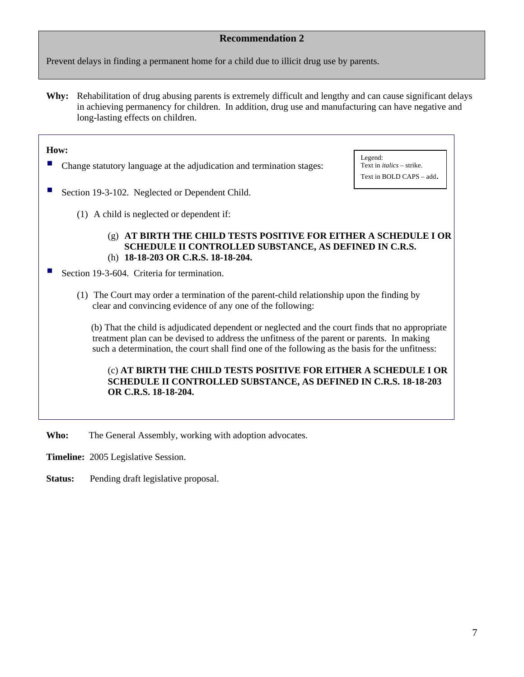Prevent delays in finding a permanent home for a child due to illicit drug use by parents.

**Why:** Rehabilitation of drug abusing parents is extremely difficult and lengthy and can cause significant delays in achieving permanency for children. In addition, drug use and manufacturing can have negative and long-lasting effects on children.

#### **How:**

- Change statutory language at the adjudication and termination stages:
- Section 19-3-102. Neglected or Dependent Child.
	- (1) A child is neglected or dependent if:

Legend: Text in *italics* – strike. Text in BOLD CAPS – add.

- (g) **AT BIRTH THE CHILD TESTS POSITIVE FOR EITHER A SCHEDULE I OR SCHEDULE II CONTROLLED SUBSTANCE, AS DEFINED IN C.R.S.**  (h) **18-18-203 OR C.R.S. 18-18-204.**
- Section 19-3-604. Criteria for termination.
	- (1) The Court may order a termination of the parent-child relationship upon the finding by clear and convincing evidence of any one of the following:

 (b) That the child is adjudicated dependent or neglected and the court finds that no appropriate treatment plan can be devised to address the unfitness of the parent or parents. In making such a determination, the court shall find one of the following as the basis for the unfitness:

#### (c) **AT BIRTH THE CHILD TESTS POSITIVE FOR EITHER A SCHEDULE I OR SCHEDULE II CONTROLLED SUBSTANCE, AS DEFINED IN C.R.S. 18-18-203 OR C.R.S. 18-18-204.**

Who: The General Assembly, working with adoption advocates.

**Timeline:** 2005 Legislative Session.

Status: Pending draft legislative proposal.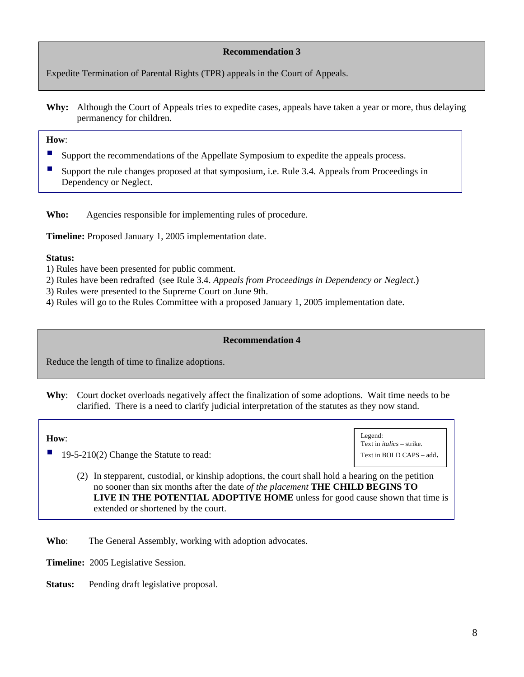Expedite Termination of Parental Rights (TPR) appeals in the Court of Appeals.

**Why:** Although the Court of Appeals tries to expedite cases, appeals have taken a year or more, thus delaying permanency for children.

#### **How**:

- Support the recommendations of the Appellate Symposium to expedite the appeals process.
- Support the rule changes proposed at that symposium, i.e. Rule 3.4. Appeals from Proceedings in Dependency or Neglect.

**Who:** Agencies responsible for implementing rules of procedure.

**Timeline:** Proposed January 1, 2005 implementation date.

#### **Status:**

- 1) Rules have been presented for public comment.
- 2) Rules have been redrafted (see Rule 3.4. *Appeals from Proceedings in Dependency or Neglect.*)
- 3) Rules were presented to the Supreme Court on June 9th.
- 4) Rules will go to the Rules Committee with a proposed January 1, 2005 implementation date.

#### **Recommendation 4**

Reduce the length of time to finalize adoptions.

**Why**: Court docket overloads negatively affect the finalization of some adoptions. Wait time needs to be clarified. There is a need to clarify judicial interpretation of the statutes as they now stand.

#### **How**:

19-5-210(2) Change the Statute to read:



(2) In stepparent, custodial, or kinship adoptions, the court shall hold a hearing on the petition no sooner than six months after the date *of the placement* **THE CHILD BEGINS TO LIVE IN THE POTENTIAL ADOPTIVE HOME** unless for good cause shown that time is extended or shortened by the court.

**Who**: The General Assembly, working with adoption advocates.

**Timeline:** 2005 Legislative Session.

**Status:** Pending draft legislative proposal.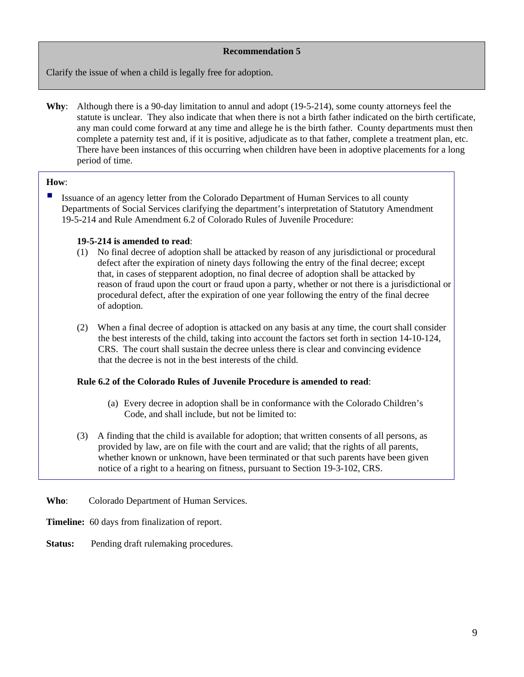Clarify the issue of when a child is legally free for adoption.

**Why**: Although there is a 90-day limitation to annul and adopt (19-5-214), some county attorneys feel the statute is unclear. They also indicate that when there is not a birth father indicated on the birth certificate, any man could come forward at any time and allege he is the birth father. County departments must then complete a paternity test and, if it is positive, adjudicate as to that father, complete a treatment plan, etc. There have been instances of this occurring when children have been in adoptive placements for a long period of time.

#### **How**:

Issuance of an agency letter from the Colorado Department of Human Services to all county Departments of Social Services clarifying the department's interpretation of Statutory Amendment 19-5-214 and Rule Amendment 6.2 of Colorado Rules of Juvenile Procedure:

#### **19-5-214 is amended to read**:

- (1) No final decree of adoption shall be attacked by reason of any jurisdictional or procedural defect after the expiration of ninety days following the entry of the final decree; except that, in cases of stepparent adoption, no final decree of adoption shall be attacked by reason of fraud upon the court or fraud upon a party, whether or not there is a jurisdictional or procedural defect, after the expiration of one year following the entry of the final decree of adoption.
- (2) When a final decree of adoption is attacked on any basis at any time, the court shall consider the best interests of the child, taking into account the factors set forth in section 14-10-124, CRS. The court shall sustain the decree unless there is clear and convincing evidence that the decree is not in the best interests of the child.

#### **Rule 6.2 of the Colorado Rules of Juvenile Procedure is amended to read**:

- (a) Every decree in adoption shall be in conformance with the Colorado Children's Code, and shall include, but not be limited to:
- (3) A finding that the child is available for adoption; that written consents of all persons, as provided by law, are on file with the court and are valid; that the rights of all parents, whether known or unknown, have been terminated or that such parents have been given notice of a right to a hearing on fitness, pursuant to Section 19-3-102, CRS.

**Who**: Colorado Department of Human Services.

**Timeline:** 60 days from finalization of report.

**Status:** Pending draft rulemaking procedures.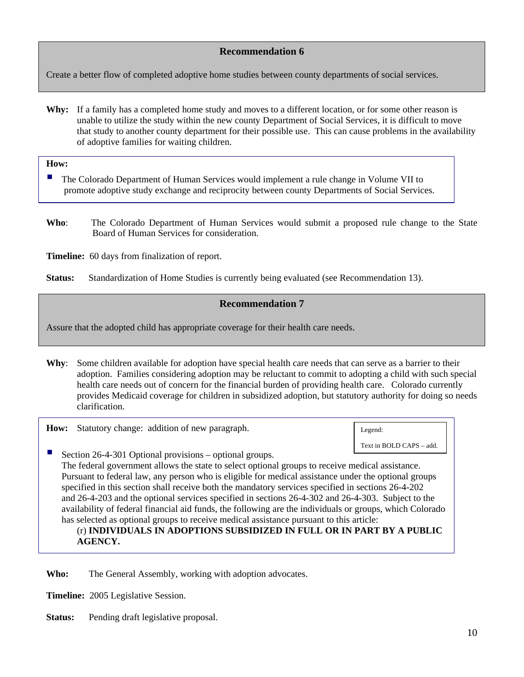Create a better flow of completed adoptive home studies between county departments of social services.

**Why:** If a family has a completed home study and moves to a different location, or for some other reason is unable to utilize the study within the new county Department of Social Services, it is difficult to move that study to another county department for their possible use. This can cause problems in the availability of adoptive families for waiting children.

**How:**

- The Colorado Department of Human Services would implement a rule change in Volume VII to promote adoptive study exchange and reciprocity between county Departments of Social Services.
- **Who**: The Colorado Department of Human Services would submit a proposed rule change to the State Board of Human Services for consideration.

**Timeline:** 60 days from finalization of report.

**Status:** Standardization of Home Studies is currently being evaluated (see Recommendation 13).

#### **Recommendation 7**

Assure that the adopted child has appropriate coverage for their health care needs.

**Why**: Some children available for adoption have special health care needs that can serve as a barrier to their adoption. Families considering adoption may be reluctant to commit to adopting a child with such special health care needs out of concern for the financial burden of providing health care. Colorado currently provides Medicaid coverage for children in subsidized adoption, but statutory authority for doing so needs clarification.

**How:** Statutory change: addition of new paragraph.

Legend: Text in BOLD CAPS – add.

 Section 26-4-301 Optional provisions – optional groups. The federal government allows the state to select optional groups to receive medical assistance. Pursuant to federal law, any person who is eligible for medical assistance under the optional groups specified in this section shall receive both the mandatory services specified in sections 26-4-202 and 26-4-203 and the optional services specified in sections 26-4-302 and 26-4-303. Subject to the availability of federal financial aid funds, the following are the individuals or groups, which Colorado has selected as optional groups to receive medical assistance pursuant to this article:

#### (r) **INDIVIDUALS IN ADOPTIONS SUBSIDIZED IN FULL OR IN PART BY A PUBLIC AGENCY.**

**Who:** The General Assembly, working with adoption advocates.

**Timeline:** 2005 Legislative Session.

**Status:** Pending draft legislative proposal.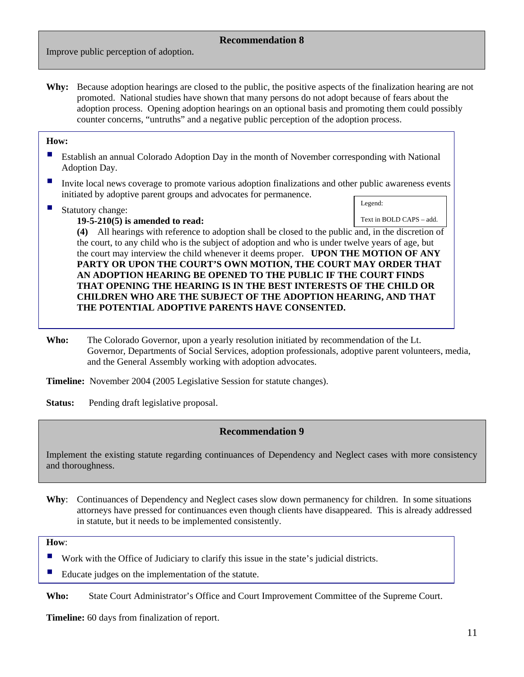Improve public perception of adoption.

**Why:** Because adoption hearings are closed to the public, the positive aspects of the finalization hearing are not promoted. National studies have shown that many persons do not adopt because of fears about the adoption process. Opening adoption hearings on an optional basis and promoting them could possibly counter concerns, "untruths" and a negative public perception of the adoption process.

#### **How:**

- **Establish an annual Colorado Adoption Day in the month of November corresponding with National** Adoption Day.
- Invite local news coverage to promote various adoption finalizations and other public awareness events initiated by adoptive parent groups and advocates for permanence.
- Statutory change:

Legend:

 **19-5-210(5) is amended to read:** 

Text in BOLD CAPS – add.

**(4)** All hearings with reference to adoption shall be closed to the public and, in the discretion of the court, to any child who is the subject of adoption and who is under twelve years of age, but the court may interview the child whenever it deems proper. **UPON THE MOTION OF ANY PARTY OR UPON THE COURT'S OWN MOTION, THE COURT MAY ORDER THAT AN ADOPTION HEARING BE OPENED TO THE PUBLIC IF THE COURT FINDS THAT OPENING THE HEARING IS IN THE BEST INTERESTS OF THE CHILD OR CHILDREN WHO ARE THE SUBJECT OF THE ADOPTION HEARING, AND THAT THE POTENTIAL ADOPTIVE PARENTS HAVE CONSENTED.** 

**Who:** The Colorado Governor, upon a yearly resolution initiated by recommendation of the Lt. Governor, Departments of Social Services, adoption professionals, adoptive parent volunteers, media, and the General Assembly working with adoption advocates.

**Timeline:** November 2004 (2005 Legislative Session for statute changes).

**Status:** Pending draft legislative proposal.

#### **Recommendation 9**

Implement the existing statute regarding continuances of Dependency and Neglect cases with more consistency and thoroughness.

**Why**: Continuances of Dependency and Neglect cases slow down permanency for children. In some situations attorneys have pressed for continuances even though clients have disappeared. This is already addressed in statute, but it needs to be implemented consistently.

**How**:

- Work with the Office of Judiciary to clarify this issue in the state's judicial districts.
- Educate judges on the implementation of the statute.

**Who:** State Court Administrator's Office and Court Improvement Committee of the Supreme Court.

**Timeline:** 60 days from finalization of report.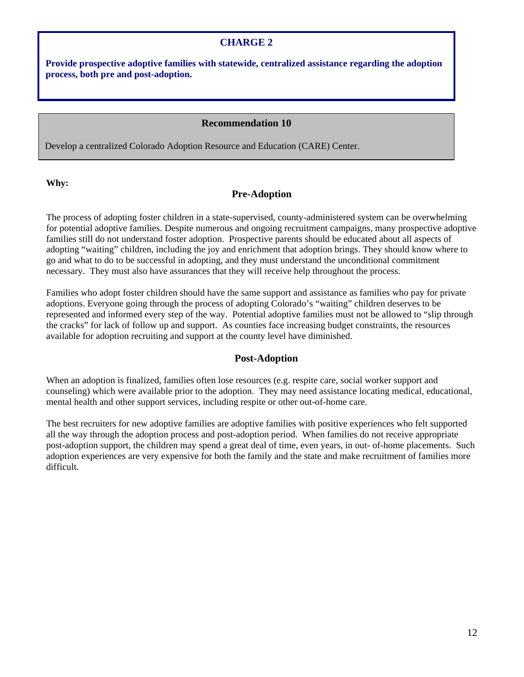#### **CHARGE 2**

**Provide prospective adoptive families with statewide, centralized assistance regarding the adoption process, both pre and post-adoption.**

#### **Recommendation 10**

Develop a centralized Colorado Adoption Resource and Education (CARE) Center.

**Why:** 

#### **Pre-Adoption**

The process of adopting foster children in a state-supervised, county-administered system can be overwhelming for potential adoptive families. Despite numerous and ongoing recruitment campaigns, many prospective adoptive families still do not understand foster adoption. Prospective parents should be educated about all aspects of adopting "waiting" children, including the joy and enrichment that adoption brings. They should know where to go and what to do to be successful in adopting, and they must understand the unconditional commitment necessary. They must also have assurances that they will receive help throughout the process.

Families who adopt foster children should have the same support and assistance as families who pay for private adoptions. Everyone going through the process of adopting Colorado's "waiting" children deserves to be represented and informed every step of the way. Potential adoptive families must not be allowed to "slip through the cracks" for lack of follow up and support. As counties face increasing budget constraints, the resources available for adoption recruiting and support at the county level have diminished.

#### **Post-Adoption**

When an adoption is finalized, families often lose resources (e.g. respite care, social worker support and counseling) which were available prior to the adoption. They may need assistance locating medical, educational, mental health and other support services, including respite or other out-of-home care.

The best recruiters for new adoptive families are adoptive families with positive experiences who felt supported all the way through the adoption process and post-adoption period. When families do not receive appropriate post-adoption support, the children may spend a great deal of time, even years, in out- of-home placements. Such adoption experiences are very expensive for both the family and the state and make recruitment of families more difficult.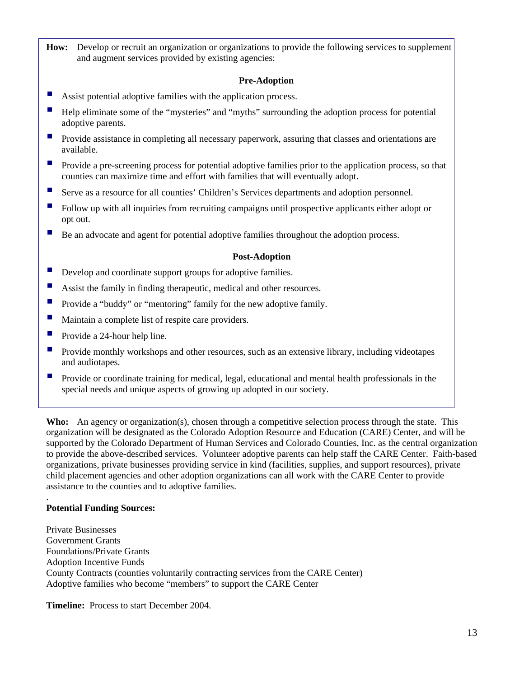**How:** Develop or recruit an organization or organizations to provide the following services to supplement and augment services provided by existing agencies:

#### **Pre-Adoption**

- Assist potential adoptive families with the application process.
- Help eliminate some of the "mysteries" and "myths" surrounding the adoption process for potential adoptive parents.
- Provide assistance in completing all necessary paperwork, assuring that classes and orientations are available.
- Provide a pre-screening process for potential adoptive families prior to the application process, so that counties can maximize time and effort with families that will eventually adopt.
- Serve as a resource for all counties' Children's Services departments and adoption personnel.
- Follow up with all inquiries from recruiting campaigns until prospective applicants either adopt or opt out.
- Be an advocate and agent for potential adoptive families throughout the adoption process.

#### **Post-Adoption**

- Develop and coordinate support groups for adoptive families.
- Assist the family in finding therapeutic, medical and other resources.
- **Provide a "buddy" or "mentoring" family for the new adoptive family.**
- Maintain a complete list of respite care providers.
- Provide a 24-hour help line.
- Provide monthly workshops and other resources, such as an extensive library, including videotapes and audiotapes.
- Provide or coordinate training for medical, legal, educational and mental health professionals in the special needs and unique aspects of growing up adopted in our society.

**Who:** An agency or organization(s), chosen through a competitive selection process through the state. This organization will be designated as the Colorado Adoption Resource and Education (CARE) Center, and will be supported by the Colorado Department of Human Services and Colorado Counties, Inc. as the central organization to provide the above-described services. Volunteer adoptive parents can help staff the CARE Center. Faith-based organizations, private businesses providing service in kind (facilities, supplies, and support resources), private child placement agencies and other adoption organizations can all work with the CARE Center to provide assistance to the counties and to adoptive families.

#### **Potential Funding Sources:**

.

Private Businesses Government Grants Foundations/Private Grants Adoption Incentive Funds County Contracts (counties voluntarily contracting services from the CARE Center) Adoptive families who become "members" to support the CARE Center

**Timeline:** Process to start December 2004.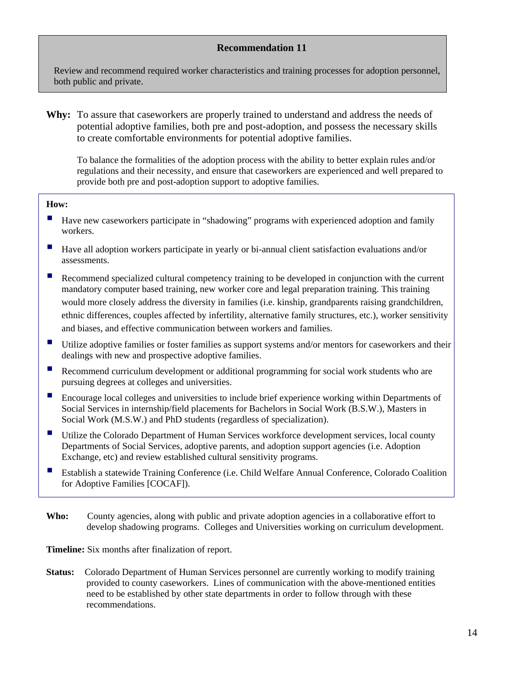Review and recommend required worker characteristics and training processes for adoption personnel, both public and private.

**Why:** To assure that caseworkers are properly trained to understand and address the needs of potential adoptive families, both pre and post-adoption, and possess the necessary skills to create comfortable environments for potential adoptive families.

To balance the formalities of the adoption process with the ability to better explain rules and/or regulations and their necessity, and ensure that caseworkers are experienced and well prepared to provide both pre and post-adoption support to adoptive families.

#### **How:**

- Have new caseworkers participate in "shadowing" programs with experienced adoption and family workers.
- Have all adoption workers participate in yearly or bi-annual client satisfaction evaluations and/or assessments.
- Recommend specialized cultural competency training to be developed in conjunction with the current mandatory computer based training, new worker core and legal preparation training. This training would more closely address the diversity in families (i.e. kinship, grandparents raising grandchildren, ethnic differences, couples affected by infertility, alternative family structures, etc.), worker sensitivity and biases, and effective communication between workers and families.
- Utilize adoptive families or foster families as support systems and/or mentors for caseworkers and their dealings with new and prospective adoptive families.
- Recommend curriculum development or additional programming for social work students who are pursuing degrees at colleges and universities.
- Encourage local colleges and universities to include brief experience working within Departments of Social Services in internship/field placements for Bachelors in Social Work (B.S.W.), Masters in Social Work (M.S.W.) and PhD students (regardless of specialization).
- Utilize the Colorado Department of Human Services workforce development services, local county Departments of Social Services, adoptive parents, and adoption support agencies (i.e. Adoption Exchange, etc) and review established cultural sensitivity programs.
- Establish a statewide Training Conference (i.e. Child Welfare Annual Conference, Colorado Coalition for Adoptive Families [COCAF]).
- **Who:** County agencies, along with public and private adoption agencies in a collaborative effort to develop shadowing programs. Colleges and Universities working on curriculum development.

**Timeline:** Six months after finalization of report.

**Status:** Colorado Department of Human Services personnel are currently working to modify training provided to county caseworkers. Lines of communication with the above-mentioned entities need to be established by other state departments in order to follow through with these recommendations.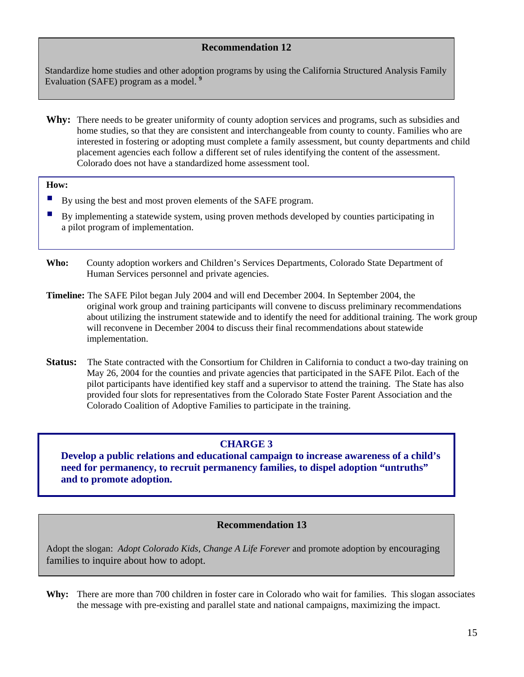Standardize home studies and other adoption programs by using the California Structured Analysis Family Evaluation (SAFE) program as a model. **<sup>9</sup>**

**Why:** There needs to be greater uniformity of county adoption services and programs, such as subsidies and home studies, so that they are consistent and interchangeable from county to county. Families who are interested in fostering or adopting must complete a family assessment, but county departments and child placement agencies each follow a different set of rules identifying the content of the assessment. Colorado does not have a standardized home assessment tool.

#### **How:**

- By using the best and most proven elements of the SAFE program.
- By implementing a statewide system, using proven methods developed by counties participating in a pilot program of implementation.

**Who:** County adoption workers and Children's Services Departments, Colorado State Department of Human Services personnel and private agencies.

- **Timeline:** The SAFE Pilot began July 2004 and will end December 2004. In September 2004, the original work group and training participants will convene to discuss preliminary recommendations about utilizing the instrument statewide and to identify the need for additional training. The work group will reconvene in December 2004 to discuss their final recommendations about statewide implementation.
- **Status:** The State contracted with the Consortium for Children in California to conduct a two-day training on May 26, 2004 for the counties and private agencies that participated in the SAFE Pilot. Each of the pilot participants have identified key staff and a supervisor to attend the training. The State has also provided four slots for representatives from the Colorado State Foster Parent Association and the Colorado Coalition of Adoptive Families to participate in the training.

#### **CHARGE 3**

**Develop a public relations and educational campaign to increase awareness of a child's need for permanency, to recruit permanency families, to dispel adoption "untruths" and to promote adoption.**

#### **Recommendation 13**

Adopt the slogan: *Adopt Colorado Kids, Change A Life Forever* and promote adoption by encouraging families to inquire about how to adopt.

**Why:** There are more than 700 children in foster care in Colorado who wait for families. This slogan associates the message with pre-existing and parallel state and national campaigns, maximizing the impact.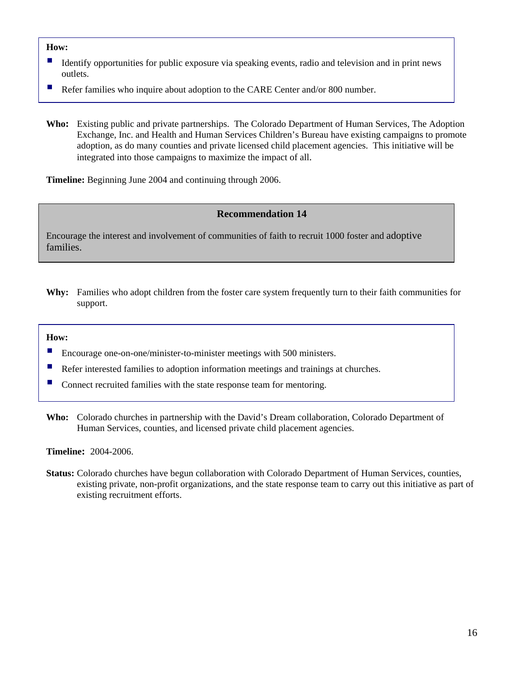#### **How:**

- Identify opportunities for public exposure via speaking events, radio and television and in print news outlets.
- Refer families who inquire about adoption to the CARE Center and/or 800 number.
- **Who:** Existing public and private partnerships. The Colorado Department of Human Services, The Adoption Exchange, Inc. and Health and Human Services Children's Bureau have existing campaigns to promote adoption, as do many counties and private licensed child placement agencies. This initiative will be integrated into those campaigns to maximize the impact of all.

**Timeline:** Beginning June 2004 and continuing through 2006.

#### **Recommendation 14**

Encourage the interest and involvement of communities of faith to recruit 1000 foster and adoptive families.

**Why:** Families who adopt children from the foster care system frequently turn to their faith communities for support.

#### **How:**

- Encourage one-on-one/minister-to-minister meetings with 500 ministers.
- Refer interested families to adoption information meetings and trainings at churches.
- Connect recruited families with the state response team for mentoring.
- **Who:** Colorado churches in partnership with the David's Dream collaboration, Colorado Department of Human Services, counties, and licensed private child placement agencies.

**Timeline:**2004-2006.

**Status:** Colorado churches have begun collaboration with Colorado Department of Human Services, counties, existing private, non-profit organizations, and the state response team to carry out this initiative as part of existing recruitment efforts.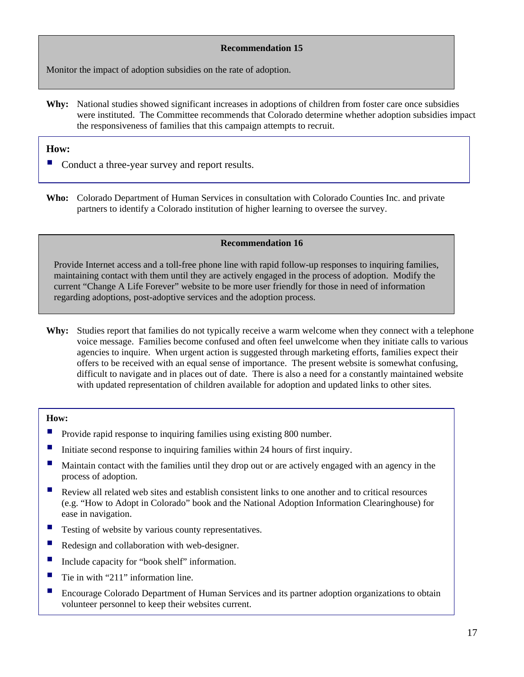Monitor the impact of adoption subsidies on the rate of adoption.

**Why:** National studies showed significant increases in adoptions of children from foster care once subsidies were instituted. The Committee recommends that Colorado determine whether adoption subsidies impact the responsiveness of families that this campaign attempts to recruit.

#### **How:**

- Conduct a three-year survey and report results.
- **Who:** Colorado Department of Human Services in consultation with Colorado Counties Inc. and private partners to identify a Colorado institution of higher learning to oversee the survey.

#### **Recommendation 16**

Provide Internet access and a toll-free phone line with rapid follow-up responses to inquiring families, maintaining contact with them until they are actively engaged in the process of adoption. Modify the current "Change A Life Forever" website to be more user friendly for those in need of information regarding adoptions, post-adoptive services and the adoption process.

**Why:** Studies report that families do not typically receive a warm welcome when they connect with a telephone voice message. Families become confused and often feel unwelcome when they initiate calls to various agencies to inquire. When urgent action is suggested through marketing efforts, families expect their offers to be received with an equal sense of importance. The present website is somewhat confusing, difficult to navigate and in places out of date. There is also a need for a constantly maintained website with updated representation of children available for adoption and updated links to other sites.

#### **How:**

- Provide rapid response to inquiring families using existing 800 number.
- Initiate second response to inquiring families within 24 hours of first inquiry.
- Maintain contact with the families until they drop out or are actively engaged with an agency in the process of adoption.
- Review all related web sites and establish consistent links to one another and to critical resources (e.g. "How to Adopt in Colorado" book and the National Adoption Information Clearinghouse) for ease in navigation.
- Testing of website by various county representatives.
- Redesign and collaboration with web-designer.
- Include capacity for "book shelf" information.
- Tie in with "211" information line.
- Encourage Colorado Department of Human Services and its partner adoption organizations to obtain volunteer personnel to keep their websites current.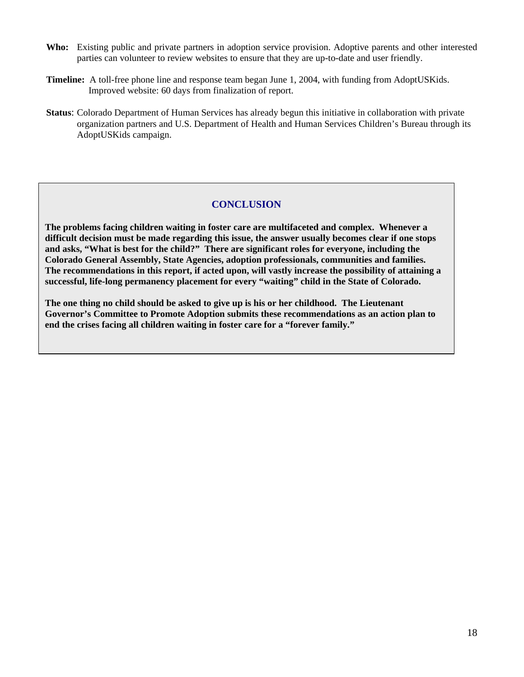- **Who:** Existing public and private partners in adoption service provision. Adoptive parents and other interested parties can volunteer to review websites to ensure that they are up-to-date and user friendly.
- **Timeline:**A toll-free phone line and response team began June 1, 2004, with funding from AdoptUSKids. Improved website: 60 days from finalization of report.
- **Status**: Colorado Department of Human Services has already begun this initiative in collaboration with private organization partners and U.S. Department of Health and Human Services Children's Bureau through its AdoptUSKids campaign.

#### **CONCLUSION**

**The problems facing children waiting in foster care are multifaceted and complex. Whenever a difficult decision must be made regarding this issue, the answer usually becomes clear if one stops and asks, "What is best for the child?" There are significant roles for everyone, including the Colorado General Assembly, State Agencies, adoption professionals, communities and families. The recommendations in this report, if acted upon, will vastly increase the possibility of attaining a successful, life-long permanency placement for every "waiting" child in the State of Colorado.** 

**The one thing no child should be asked to give up is his or her childhood. The Lieutenant Governor's Committee to Promote Adoption submits these recommendations as an action plan to end the crises facing all children waiting in foster care for a "forever family."**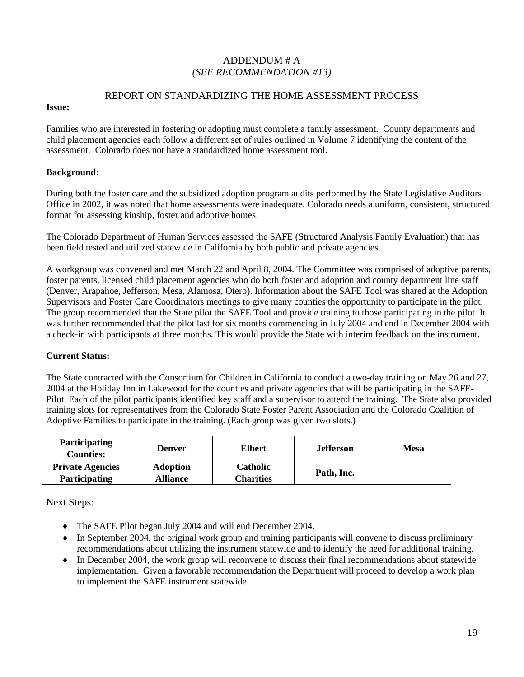#### ADDENDUM # A *(SEE RECOMMENDATION #13)*

#### REPORT ON STANDARDIZING THE HOME ASSESSMENT PROCESS

#### **Issue:**

Families who are interested in fostering or adopting must complete a family assessment. County departments and child placement agencies each follow a different set of rules outlined in Volume 7 identifying the content of the assessment. Colorado does not have a standardized home assessment tool.

#### **Background:**

During both the foster care and the subsidized adoption program audits performed by the State Legislative Auditors Office in 2002, it was noted that home assessments were inadequate. Colorado needs a uniform, consistent, structured format for assessing kinship, foster and adoptive homes.

The Colorado Department of Human Services assessed the SAFE (Structured Analysis Family Evaluation) that has been field tested and utilized statewide in California by both public and private agencies.

A workgroup was convened and met March 22 and April 8, 2004. The Committee was comprised of adoptive parents, foster parents, licensed child placement agencies who do both foster and adoption and county department line staff (Denver, Arapahoe, Jefferson, Mesa, Alamosa, Otero). Information about the SAFE Tool was shared at the Adoption Supervisors and Foster Care Coordinators meetings to give many counties the opportunity to participate in the pilot. The group recommended that the State pilot the SAFE Tool and provide training to those participating in the pilot. It was further recommended that the pilot last for six months commencing in July 2004 and end in December 2004 with a check-in with participants at three months. This would provide the State with interim feedback on the instrument.

#### **Current Status:**

The State contracted with the Consortium for Children in California to conduct a two-day training on May 26 and 27, 2004 at the Holiday Inn in Lakewood for the counties and private agencies that will be participating in the SAFE-Pilot. Each of the pilot participants identified key staff and a supervisor to attend the training. The State also provided training slots for representatives from the Colorado State Foster Parent Association and the Colorado Coalition of Adoptive Families to participate in the training. (Each group was given two slots.)

| Participating<br>Counties:                      | Denver                             | <b>Elbert</b>                | <b>Jefferson</b> | <b>Mesa</b> |
|-------------------------------------------------|------------------------------------|------------------------------|------------------|-------------|
| <b>Private Agencies</b><br><b>Participating</b> | <b>Adoption</b><br><b>Alliance</b> | <b>Catholic</b><br>Charities | Path, Inc.       |             |

Next Steps:

- ♦ The SAFE Pilot began July 2004 and will end December 2004.
- ♦ In September 2004, the original work group and training participants will convene to discuss preliminary recommendations about utilizing the instrument statewide and to identify the need for additional training.
- ♦ In December 2004, the work group will reconvene to discuss their final recommendations about statewide implementation. Given a favorable recommendation the Department will proceed to develop a work plan to implement the SAFE instrument statewide.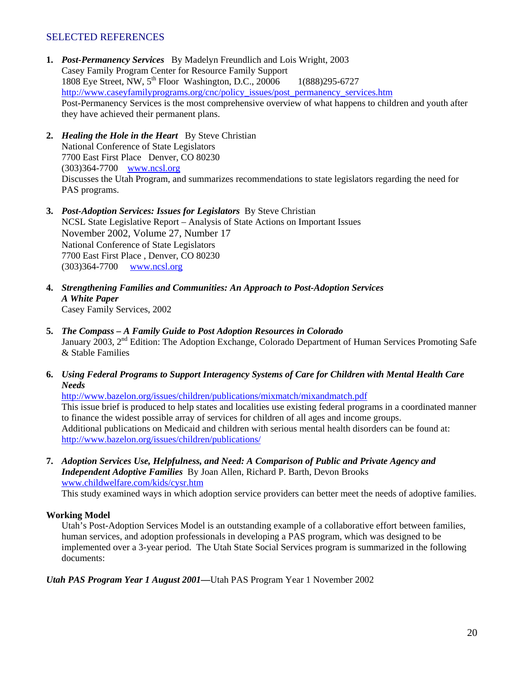#### SELECTED REFERENCES

- **1.** *Post-Permanency Services*By Madelyn Freundlich and Lois Wright, 2003 Casey Family Program Center for Resource Family Support 1808 Eye Street, NW, 5<sup>th</sup> Floor Washington, D.C., 20006 1(888)295-6727 http://www.caseyfamilyprograms.org/cnc/policy\_issues/post\_permanency\_services.htm Post-Permanency Services is the most comprehensive overview of what happens to children and youth after they have achieved their permanent plans.
- **2.** *Healing the Hole in the Heart* By Steve Christian National Conference of State Legislators 7700 East First Place Denver, CO 80230 (303)364-7700 www.ncsl.org Discusses the Utah Program, and summarizes recommendations to state legislators regarding the need for PAS programs.
- **3.** *Post-Adoption Services: Issues for Legislators* By Steve Christian NCSL State Legislative Report – Analysis of State Actions on Important Issues November 2002, Volume 27, Number 17 National Conference of State Legislators 7700 East First Place , Denver, CO 80230 (303)364-7700 www.ncsl.org
- **4.** *Strengthening Families and Communities: An Approach to Post-Adoption Services A White Paper* Casey Family Services, 2002
- **5.** *The Compass A Family Guide to Post Adoption Resources in Colorado* January 2003, 2<sup>nd</sup> Edition: The Adoption Exchange, Colorado Department of Human Services Promoting Safe & Stable Families
- **6.** *Using Federal Programs to Support Interagency Systems of Care for Children with Mental Health Care Needs*

http://www.bazelon.org/issues/children/publications/mixmatch/mixandmatch.pdf This issue brief is produced to help states and localities use existing federal programs in a coordinated manner to finance the widest possible array of services for children of all ages and income groups. Additional publications on Medicaid and children with serious mental health disorders can be found at: http://www.bazelon.org/issues/children/publications/

**7.** *Adoption Services Use, Helpfulness, and Need: A Comparison of Public and Private Agency and Independent Adoptive Families* By Joan Allen, Richard P. Barth, Devon Brooks www.childwelfare.com/kids/cysr.htm

This study examined ways in which adoption service providers can better meet the needs of adoptive families.

#### **Working Model**

Utah's Post-Adoption Services Model is an outstanding example of a collaborative effort between families, human services, and adoption professionals in developing a PAS program, which was designed to be implemented over a 3-year period. The Utah State Social Services program is summarized in the following documents:

*Utah PAS Program Year 1 August 2001—*Utah PAS Program Year 1 November 2002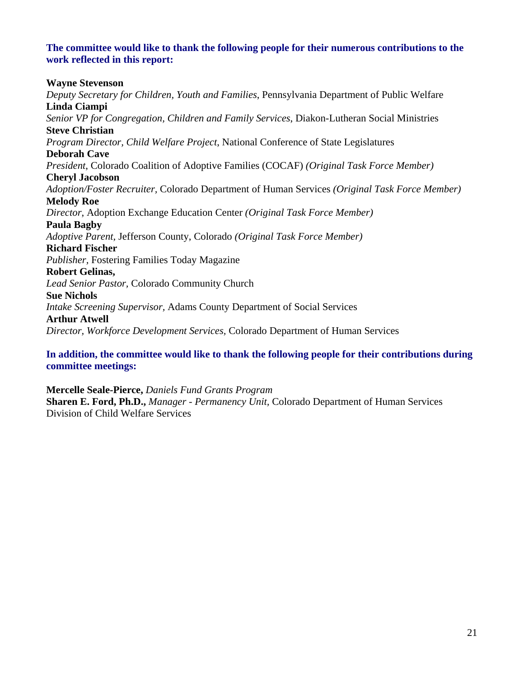#### **The committee would like to thank the following people for their numerous contributions to the work reflected in this report:**

#### **Wayne Stevenson**

*Deputy Secretary for Children, Youth and Families*, Pennsylvania Department of Public Welfare **Linda Ciampi**  *Senior VP for Congregation, Children and Family Services*, Diakon-Lutheran Social Ministries **Steve Christian**  *Program Director, Child Welfare Project*, National Conference of State Legislatures **Deborah Cave** *President*, Colorado Coalition of Adoptive Families (COCAF) *(Original Task Force Member)* **Cheryl Jacobson**  *Adoption/Foster Recruiter,* Colorado Department of Human Services *(Original Task Force Member)*  **Melody Roe**  *Director*, Adoption Exchange Education Center *(Original Task Force Member)*  **Paula Bagby**  *Adoptive Parent,* Jefferson County, Colorado *(Original Task Force Member)*  **Richard Fischer** *Publisher,* Fostering Families Today Magazine **Robert Gelinas,**  *Lead Senior Pastor,* Colorado Community Church **Sue Nichols**  *Intake Screening Supervisor,* Adams County Department of Social Services **Arthur Atwell**  *Director, Workforce Development Services,* Colorado Department of Human Services

**In addition, the committee would like to thank the following people for their contributions during committee meetings:** 

#### **Mercelle Seale-Pierce,** *Daniels Fund Grants Program*

**Sharen E. Ford, Ph.D.,** *Manager - Permanency Unit,* Colorado Department of Human Services Division of Child Welfare Services